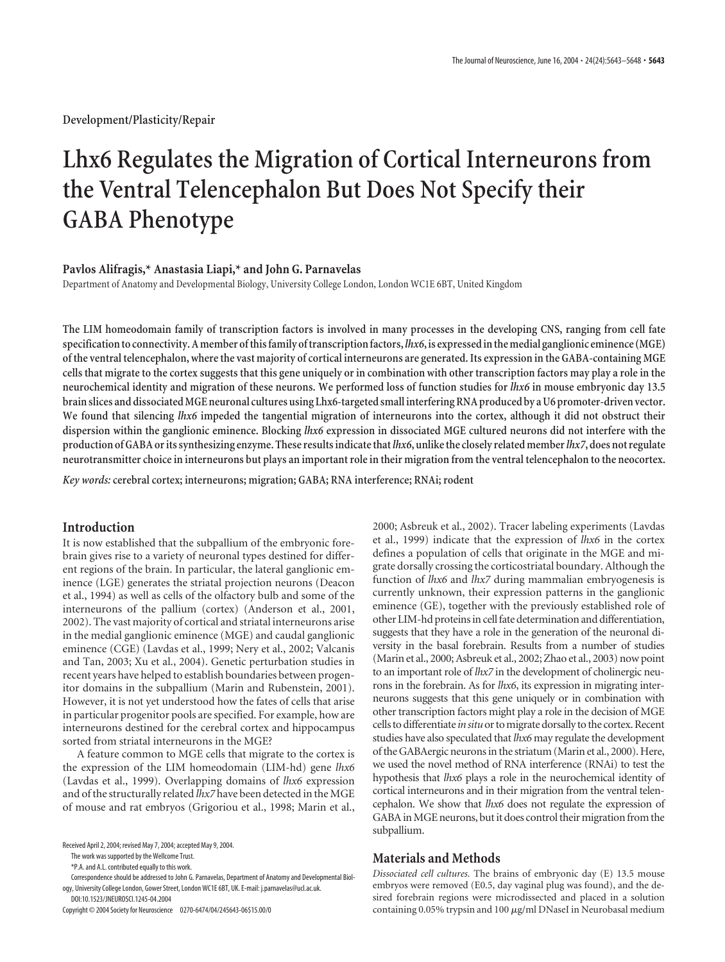**Development/Plasticity/Repair**

# **Lhx6 Regulates the Migration of Cortical Interneurons from the Ventral Telencephalon But Does Not Specify their GABA Phenotype**

#### **Pavlos Alifragis,\* Anastasia Liapi,\* and John G. Parnavelas**

Department of Anatomy and Developmental Biology, University College London, London WC1E 6BT, United Kingdom

**The LIM homeodomain family of transcription factors is involved in many processes in the developing CNS, ranging from cell fate specification to connectivity. A member of this family of transcription factors,** *lhx6***, is expressed in the medial ganglionic eminence (MGE) of the ventral telencephalon, where the vast majority of cortical interneurons are generated. Its expression in the GABA-containing MGE cells that migrate to the cortex suggests that this gene uniquely or in combination with other transcription factors may play a role in the neurochemical identity and migration of these neurons. We performed loss of function studies for** *lhx6* **in mouse embryonic day 13.5 brain slices and dissociated MGE neuronal cultures using Lhx6-targeted small interfering RNA produced by a U6 promoter-driven vector. We found that silencing** *lhx6* **impeded the tangential migration of interneurons into the cortex, although it did not obstruct their dispersion within the ganglionic eminence. Blocking** *lhx6* **expression in dissociated MGE cultured neurons did not interfere with the production of GABA or its synthesizing enzyme. These results indicate that***lhx6***, unlike the closely related member***lhx7***, does not regulate neurotransmitter choice in interneurons but plays an important role in their migration from the ventral telencephalon to the neocortex.**

*Key words:***cerebral cortex; interneurons; migration; GABA; RNA interference; RNAi; rodent**

# **Introduction**

It is now established that the subpallium of the embryonic forebrain gives rise to a variety of neuronal types destined for different regions of the brain. In particular, the lateral ganglionic eminence (LGE) generates the striatal projection neurons (Deacon et al., 1994) as well as cells of the olfactory bulb and some of the interneurons of the pallium (cortex) (Anderson et al., 2001, 2002). The vast majority of cortical and striatal interneurons arise in the medial ganglionic eminence (MGE) and caudal ganglionic eminence (CGE) (Lavdas et al., 1999; Nery et al., 2002; Valcanis and Tan, 2003; Xu et al., 2004). Genetic perturbation studies in recent years have helped to establish boundaries between progenitor domains in the subpallium (Marin and Rubenstein, 2001). However, it is not yet understood how the fates of cells that arise in particular progenitor pools are specified. For example, how are interneurons destined for the cerebral cortex and hippocampus sorted from striatal interneurons in the MGE?

A feature common to MGE cells that migrate to the cortex is the expression of the LIM homeodomain (LIM-hd) gene *lhx6* (Lavdas et al., 1999). Overlapping domains of *lhx6* expression and of the structurally related *lhx7* have been detected in the MGE of mouse and rat embryos (Grigoriou et al., 1998; Marin et al.,

The work was supported by the Wellcome Trust.

\*P.A. and A.L. contributed equally to this work.

Correspondence should be addressed to John G. Parnavelas, Department of Anatomy and Developmental Biology, University College London, Gower Street, London WC1E 6BT, UK. E-mail: j.parnavelas@ucl.ac.uk. DOI:10.1523/JNEUROSCI.1245-04.2004

Copyright © 2004 Society for Neuroscience 0270-6474/04/245643-06\$15.00/0

2000; Asbreuk et al., 2002). Tracer labeling experiments (Lavdas et al., 1999) indicate that the expression of *lhx6* in the cortex defines a population of cells that originate in the MGE and migrate dorsally crossing the corticostriatal boundary. Although the function of *lhx6* and *lhx7* during mammalian embryogenesis is currently unknown, their expression patterns in the ganglionic eminence (GE), together with the previously established role of other LIM-hd proteins in cell fate determination and differentiation, suggests that they have a role in the generation of the neuronal diversity in the basal forebrain. Results from a number of studies (Marin et al., 2000; Asbreuk et al., 2002; Zhao et al., 2003) now point to an important role of *lhx7* in the development of cholinergic neurons in the forebrain. As for *lhx6*, its expression in migrating interneurons suggests that this gene uniquely or in combination with other transcription factors might play a role in the decision of MGE cells to differentiate *in situ*or to migrate dorsally to the cortex. Recent studies have also speculated that *lhx6* may regulate the development of the GABAergic neurons in the striatum (Marin et al., 2000). Here, we used the novel method of RNA interference (RNAi) to test the hypothesis that *lhx6* plays a role in the neurochemical identity of cortical interneurons and in their migration from the ventral telencephalon. We show that *lhx6* does not regulate the expression of GABA in MGE neurons, but it does control their migration from the subpallium.

## **Materials and Methods**

*Dissociated cell cultures.* The brains of embryonic day (E) 13.5 mouse embryos were removed (E0.5, day vaginal plug was found), and the desired forebrain regions were microdissected and placed in a solution containing  $0.05\%$  trypsin and  $100 \mu g/ml$  DNaseI in Neurobasal medium

Received April 2, 2004; revised May 7, 2004; accepted May 9, 2004.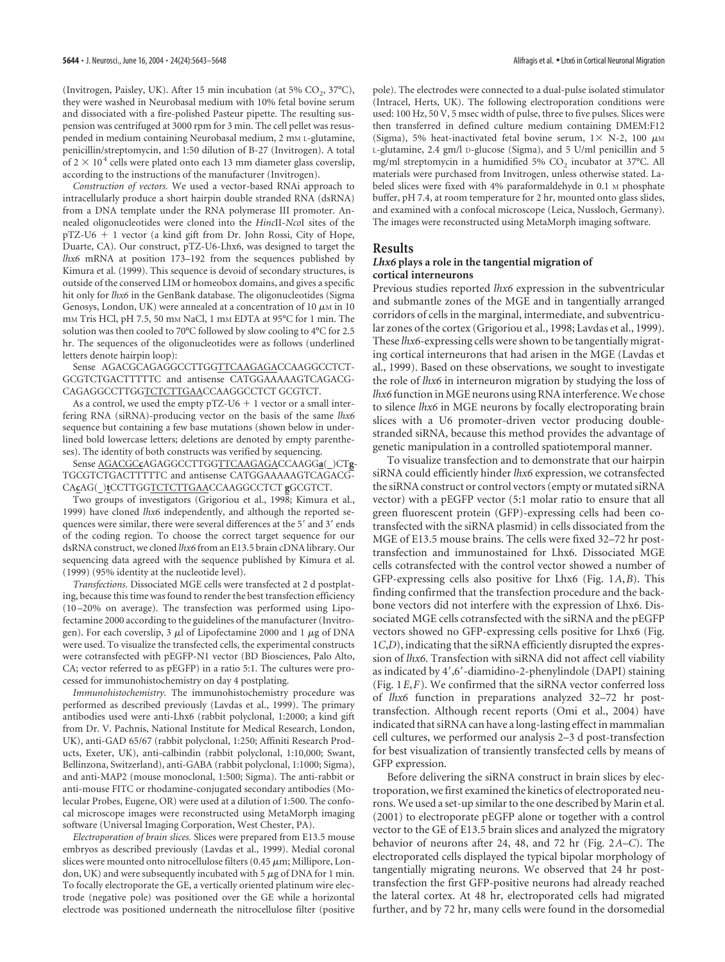(Invitrogen, Paisley, UK). After 15 min incubation (at 5% CO<sub>2</sub>, 37°C), they were washed in Neurobasal medium with 10% fetal bovine serum and dissociated with a fire-polished Pasteur pipette. The resulting suspension was centrifuged at 3000 rpm for 3 min. The cell pellet was resuspended in medium containing Neurobasal medium, 2 mm L-glutamine, penicillin/streptomycin, and 1:50 dilution of B-27 (Invitrogen). A total of  $2 \times 10^4$  cells were plated onto each 13 mm diameter glass coverslip, according to the instructions of the manufacturer (Invitrogen).

*Construction of vectors.* We used a vector-based RNAi approach to intracellularly produce a short hairpin double stranded RNA (dsRNA) from a DNA template under the RNA polymerase III promoter. Annealed oligonucleotides were cloned into the *Hinc*II-*Nco*I sites of the pTZ-U6 - 1 vector (a kind gift from Dr. John Rossi, City of Hope, Duarte, CA). Our construct, pTZ-U6-Lhx6, was designed to target the *lhx6* mRNA at position 173–192 from the sequences published by Kimura et al. (1999). This sequence is devoid of secondary structures, is outside of the conserved LIM or homeobox domains, and gives a specific hit only for *lhx6* in the GenBank database. The oligonucleotides (Sigma Genosys, London, UK) were annealed at a concentration of 10  $\mu$ M in 10 mm Tris HCl, pH 7.5, 50 mm NaCl, 1 mm EDTA at 95°C for 1 min. The solution was then cooled to 70°C followed by slow cooling to 4°C for 2.5 hr. The sequences of the oligonucleotides were as follows (underlined letters denote hairpin loop):

Sense AGACGCAGAGGCCTTGGTTCAAGAGACCAAGGCCTCT-GCGTCTGACTTTTTC and antisense CATGGAAAAAGTCAGACG-CAGAGGCCTTGGTCTCTTGAACCAAGGCCTCT GCGTCT.

As a control, we used the empty  $pTZ-U6 + 1$  vector or a small interfering RNA (siRNA)-producing vector on the basis of the same *lhx6* sequence but containing a few base mutations (shown below in underlined bold lowercase letters; deletions are denoted by empty parentheses). The identity of both constructs was verified by sequencing.

Sense AGACGC**c**AGAGGCCTTGGTTCAAGAGACCAAGG**a**( )CT**g**-TGCGTCTGACTTTTTC and antisense CATGGAAAAAGTCAGACG-CA**c**AG( )**t**CCTTGGTCTCTTGAACCAAGGCCTCT **g**GCGTCT.

Two groups of investigators (Grigoriou et al., 1998; Kimura et al., 1999) have cloned *lhx6* independently, and although the reported sequences were similar, there were several differences at the 5' and 3' ends of the coding region. To choose the correct target sequence for our dsRNA construct, we cloned *lhx6* from an E13.5 brain cDNA library. Our sequencing data agreed with the sequence published by Kimura et al. (1999) (95% identity at the nucleotide level).

*Transfections.* Dissociated MGE cells were transfected at 2 d postplating, because this time was found to render the best transfection efficiency (10 –20% on average). The transfection was performed using Lipofectamine 2000 according to the guidelines of the manufacturer (Invitrogen). For each coverslip, 3  $\mu$ l of Lipofectamine 2000 and 1  $\mu$ g of DNA were used. To visualize the transfected cells, the experimental constructs were cotransfected with pEGFP-N1 vector (BD Biosciences, Palo Alto, CA; vector referred to as pEGFP) in a ratio 5:1. The cultures were processed for immunohistochemistry on day 4 postplating.

*Immunohistochemistry.* The immunohistochemistry procedure was performed as described previously (Lavdas et al., 1999). The primary antibodies used were anti-Lhx6 (rabbit polyclonal, 1:2000; a kind gift from Dr. V. Pachnis, National Institute for Medical Research, London, UK), anti-GAD 65/67 (rabbit polyclonal, 1:250; Affiniti Research Products, Exeter, UK), anti-calbindin (rabbit polyclonal, 1:10,000; Swant, Bellinzona, Switzerland), anti-GABA (rabbit polyclonal, 1:1000; Sigma), and anti-MAP2 (mouse monoclonal, 1:500; Sigma). The anti-rabbit or anti-mouse FITC or rhodamine-conjugated secondary antibodies (Molecular Probes, Eugene, OR) were used at a dilution of 1:500. The confocal microscope images were reconstructed using MetaMorph imaging software (Universal Imaging Corporation, West Chester, PA).

*Electroporation of brain slices.* Slices were prepared from E13.5 mouse embryos as described previously (Lavdas et al., 1999). Medial coronal slices were mounted onto nitrocellulose filters (0.45  $\mu$ m; Millipore, London, UK) and were subsequently incubated with  $5 \mu$ g of DNA for 1 min. To focally electroporate the GE, a vertically oriented platinum wire electrode (negative pole) was positioned over the GE while a horizontal electrode was positioned underneath the nitrocellulose filter (positive

pole). The electrodes were connected to a dual-pulse isolated stimulator (Intracel, Herts, UK). The following electroporation conditions were used: 100 Hz, 50 V, 5 msec width of pulse, three to five pulses. Slices were then transferred in defined culture medium containing DMEM:F12 (Sigma), 5% heat-inactivated fetal bovine serum,  $1 \times N-2$ , 100  $\mu$ M L-glutamine, 2.4 gm/l D-glucose (Sigma), and 5 U/ml penicillin and 5 mg/ml streptomycin in a humidified 5%  $CO<sub>2</sub>$  incubator at 37°C. All materials were purchased from Invitrogen, unless otherwise stated. Labeled slices were fixed with 4% paraformaldehyde in 0.1 M phosphate buffer, pH 7.4, at room temperature for 2 hr, mounted onto glass slides, and examined with a confocal microscope (Leica, Nussloch, Germany). The images were reconstructed using MetaMorph imaging software.

#### **Results**

#### *Lhx6* **plays a role in the tangential migration of cortical interneurons**

Previous studies reported *lhx6* expression in the subventricular and submantle zones of the MGE and in tangentially arranged corridors of cells in the marginal, intermediate, and subventricular zones of the cortex (Grigoriou et al., 1998; Lavdas et al., 1999). These *lhx6*-expressing cells were shown to be tangentially migrating cortical interneurons that had arisen in the MGE (Lavdas et al., 1999). Based on these observations, we sought to investigate the role of *lhx6* in interneuron migration by studying the loss of *lhx6* function in MGE neurons using RNA interference. We chose to silence *lhx6* in MGE neurons by focally electroporating brain slices with a U6 promoter-driven vector producing doublestranded siRNA, because this method provides the advantage of genetic manipulation in a controlled spatiotemporal manner.

To visualize transfection and to demonstrate that our hairpin siRNA could efficiently hinder *lhx6* expression, we cotransfected the siRNA construct or control vectors (empty or mutated siRNA vector) with a pEGFP vector (5:1 molar ratio to ensure that all green fluorescent protein (GFP)-expressing cells had been cotransfected with the siRNA plasmid) in cells dissociated from the MGE of E13.5 mouse brains. The cells were fixed 32–72 hr posttransfection and immunostained for Lhx6. Dissociated MGE cells cotransfected with the control vector showed a number of GFP-expressing cells also positive for Lhx6 (Fig. 1*A*,*B*). This finding confirmed that the transfection procedure and the backbone vectors did not interfere with the expression of Lhx6. Dissociated MGE cells cotransfected with the siRNA and the pEGFP vectors showed no GFP-expressing cells positive for Lhx6 (Fig. 1*C*,*D*), indicating that the siRNA efficiently disrupted the expression of *lhx6*. Transfection with siRNA did not affect cell viability as indicated by 4',6'-diamidino-2-phenylindole (DAPI) staining (Fig. 1*E*,*F*). We confirmed that the siRNA vector conferred loss of *lhx6* function in preparations analyzed 32–72 hr posttransfection. Although recent reports (Omi et al., 2004) have indicated that siRNA can have a long-lasting effect in mammalian cell cultures, we performed our analysis 2–3 d post-transfection for best visualization of transiently transfected cells by means of GFP expression.

Before delivering the siRNA construct in brain slices by electroporation, we first examined the kinetics of electroporated neurons. We used a set-up similar to the one described by Marin et al. (2001) to electroporate pEGFP alone or together with a control vector to the GE of E13.5 brain slices and analyzed the migratory behavior of neurons after 24, 48, and 72 hr (Fig. 2*A*–*C*). The electroporated cells displayed the typical bipolar morphology of tangentially migrating neurons. We observed that 24 hr posttransfection the first GFP-positive neurons had already reached the lateral cortex. At 48 hr, electroporated cells had migrated further, and by 72 hr, many cells were found in the dorsomedial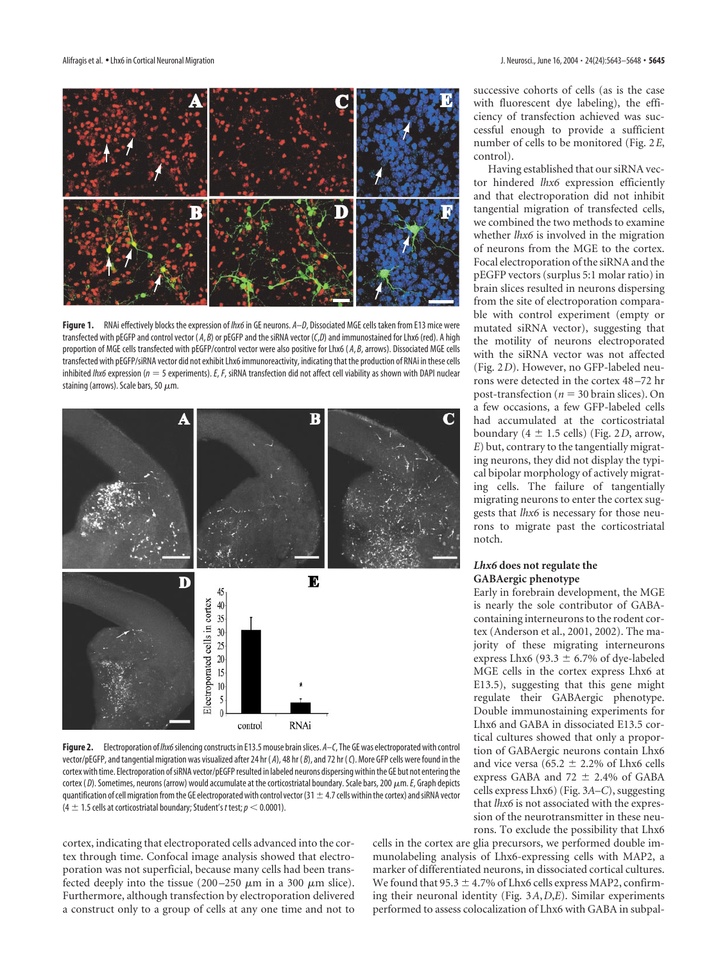

**Figure 1.** RNAi effectively blocks the expression of *lhx6*in GE neurons. *A*–*D*, Dissociated MGE cells taken from E13 mice were transfected with pEGFP and control vector ( *A*, *B*) or pEGFP and the siRNA vector (*C*,*D*) and immunostained for Lhx6 (red). A high proportion of MGE cells transfected with pEGFP/control vector were also positive for Lhx6 (A, B, arrows). Dissociated MGE cells transfected with pEGFP/siRNA vector did not exhibit Lhx6 immunoreactivity, indicating that the production of RNAi in these cells inhibited *lhx6* expression ( $n = 5$  experiments). *E*, *F*, siRNA transfection did not affect cell viability as shown with DAPI nuclear staining (arrows). Scale bars, 50  $\mu$ m.



**Figure 2.** Electroporation of *lhx6*silencing constructs in E13.5 mouse brain slices. *A*–*C*, The GE was electroporated with control vector/pEGFP, and tangential migration was visualized after 24 hr ( *A*), 48 hr ( *B*), and 72 hr (*C*). More GFP cells were found in the cortex with time. Electroporation of siRNA vector/pEGFP resulted in labeled neurons dispersing within the GE but not entering the cortex ( $D$ ). Sometimes, neurons (arrow) would accumulate at the corticostriatal boundary. Scale bars, 200  $\mu$ m. *E*, Graph depicts quantification of cell migration from the GE electroporated with control vector (31  $\pm$  4.7 cells within the cortex) and siRNA vector  $(4 \pm 1.5$  cells at corticostriatal boundary; Student's *t* test;  $p < 0.0001$ ).

cortex, indicating that electroporated cells advanced into the cortex through time. Confocal image analysis showed that electroporation was not superficial, because many cells had been transfected deeply into the tissue (200–250  $\mu$ m in a 300  $\mu$ m slice). Furthermore, although transfection by electroporation delivered a construct only to a group of cells at any one time and not to

successive cohorts of cells (as is the case with fluorescent dye labeling), the efficiency of transfection achieved was successful enough to provide a sufficient number of cells to be monitored (Fig. 2*E*, control).

Having established that our siRNA vector hindered *lhx6* expression efficiently and that electroporation did not inhibit tangential migration of transfected cells, we combined the two methods to examine whether *lhx6* is involved in the migration of neurons from the MGE to the cortex. Focal electroporation of the siRNA and the pEGFP vectors (surplus 5:1 molar ratio) in brain slices resulted in neurons dispersing from the site of electroporation comparable with control experiment (empty or mutated siRNA vector), suggesting that the motility of neurons electroporated with the siRNA vector was not affected (Fig. 2*D*). However, no GFP-labeled neurons were detected in the cortex 48–72 hr post-transfection ( $n = 30$  brain slices). On a few occasions, a few GFP-labeled cells had accumulated at the corticostriatal boundary  $(4 \pm 1.5 \text{ cells})$  (Fig. 2*D*, arrow, *E*) but, contrary to the tangentially migrating neurons, they did not display the typical bipolar morphology of actively migrating cells. The failure of tangentially migrating neurons to enter the cortex suggests that *lhx6* is necessary for those neurons to migrate past the corticostriatal notch.

# *Lhx6* **does not regulate the GABAergic phenotype**

Early in forebrain development, the MGE is nearly the sole contributor of GABAcontaining interneurons to the rodent cortex (Anderson et al., 2001, 2002). The majority of these migrating interneurons express Lhx6 (93.3  $\pm$  6.7% of dye-labeled MGE cells in the cortex express Lhx6 at E13.5), suggesting that this gene might regulate their GABAergic phenotype. Double immunostaining experiments for Lhx6 and GABA in dissociated E13.5 cortical cultures showed that only a proportion of GABAergic neurons contain Lhx6 and vice versa (65.2  $\pm$  2.2% of Lhx6 cells express GABA and 72  $\pm$  2.4% of GABA cells express Lhx6) (Fig. 3*A*–*C*), suggesting that *lhx6* is not associated with the expression of the neurotransmitter in these neurons. To exclude the possibility that Lhx6

cells in the cortex are glia precursors, we performed double immunolabeling analysis of Lhx6-expressing cells with MAP2, a marker of differentiated neurons, in dissociated cortical cultures. We found that 95.3  $\pm$  4.7% of Lhx6 cells express MAP2, confirming their neuronal identity (Fig. 3*A*,*D*,*E*). Similar experiments performed to assess colocalization of Lhx6 with GABA in subpal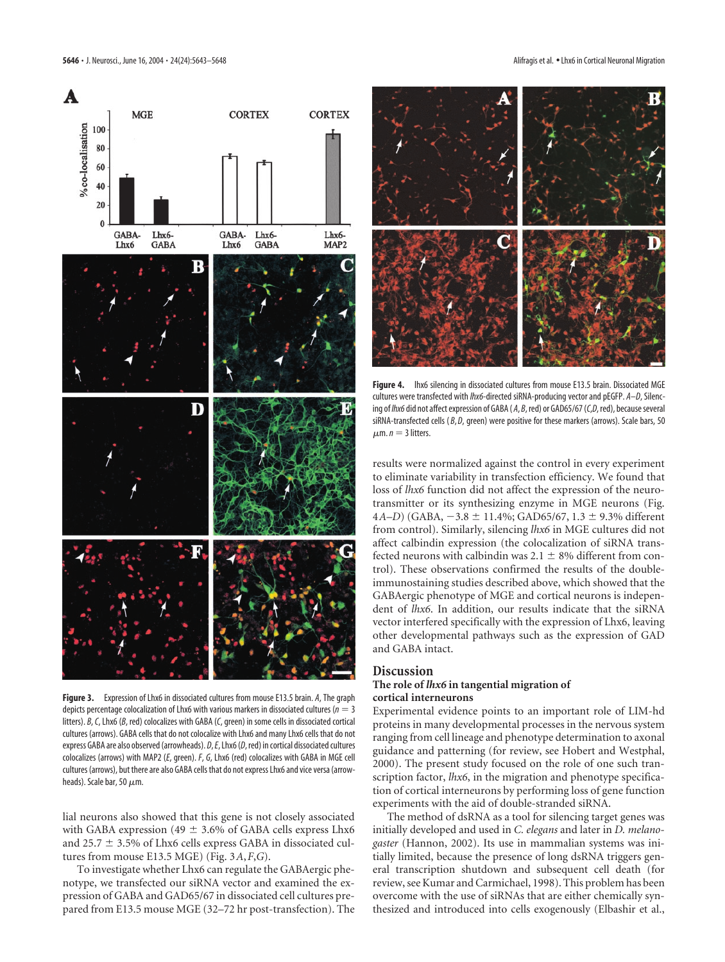**MGE** 

A

%co-localisation





**Figure 3.** Expression of Lhx6 in dissociated cultures from mouse E13.5 brain. *A*, The graph depicts percentage colocalization of Lhx6 with various markers in dissociated cultures (*n* 3 litters). *B*,*C*, Lhx6 (*B*, red) colocalizes with GABA (*C*, green) in some cells in dissociated cortical cultures (arrows). GABA cells that do not colocalize with Lhx6 and many Lhx6 cells that do not express GABA are also observed (arrowheads). *D*,*E*, Lhx6 (*D*, red) in cortical dissociated cultures colocalizes (arrows) with MAP2 (*E*, green). *F*, *G*, Lhx6 (red) colocalizes with GABA in MGE cell cultures (arrows), but there are also GABA cells that do not express Lhx6 and vice versa (arrowheads). Scale bar, 50  $\mu$ m.

lial neurons also showed that this gene is not closely associated with GABA expression (49  $\pm$  3.6% of GABA cells express Lhx6 and 25.7  $\pm$  3.5% of Lhx6 cells express GABA in dissociated cultures from mouse E13.5 MGE) (Fig. 3*A*,*F*,*G*).

To investigate whether Lhx6 can regulate the GABAergic phenotype, we transfected our siRNA vector and examined the expression of GABA and GAD65/67 in dissociated cell cultures prepared from E13.5 mouse MGE (32–72 hr post-transfection). The



**Figure 4.** lhx6 silencing in dissociated cultures from mouse E13.5 brain. Dissociated MGE cultures were transfected with *lhx6-*directed siRNA-producing vector and pEGFP. *A*–*D*, Silencing of *lhx6*did not affect expression of GABA ( *A*, *B*, red) or GAD65/67 (*C*,*D*, red), because several siRNA-transfected cells (B, D, green) were positive for these markers (arrows). Scale bars, 50  $\mu$ m. *n* = 3 litters.

results were normalized against the control in every experiment to eliminate variability in transfection efficiency. We found that loss of *lhx6* function did not affect the expression of the neurotransmitter or its synthesizing enzyme in MGE neurons (Fig. 4*A*–*D*) (GABA, -3.8 ± 11.4%; GAD65/67, 1.3 ± 9.3% different from control). Similarly, silencing *lhx6* in MGE cultures did not affect calbindin expression (the colocalization of siRNA transfected neurons with calbindin was  $2.1 \pm 8\%$  different from control). These observations confirmed the results of the doubleimmunostaining studies described above, which showed that the GABAergic phenotype of MGE and cortical neurons is independent of *lhx6*. In addition, our results indicate that the siRNA vector interfered specifically with the expression of Lhx6, leaving other developmental pathways such as the expression of GAD and GABA intact.

# **Discussion**

## **The role of** *lhx6* **in tangential migration of cortical interneurons**

Experimental evidence points to an important role of LIM-hd proteins in many developmental processes in the nervous system ranging from cell lineage and phenotype determination to axonal guidance and patterning (for review, see Hobert and Westphal, 2000). The present study focused on the role of one such transcription factor, *lhx6*, in the migration and phenotype specification of cortical interneurons by performing loss of gene function experiments with the aid of double-stranded siRNA.

The method of dsRNA as a tool for silencing target genes was initially developed and used in *C. elegans* and later in *D. melanogaster* (Hannon, 2002). Its use in mammalian systems was initially limited, because the presence of long dsRNA triggers general transcription shutdown and subsequent cell death (for review, see Kumar and Carmichael, 1998). This problem has been overcome with the use of siRNAs that are either chemically synthesized and introduced into cells exogenously (Elbashir et al.,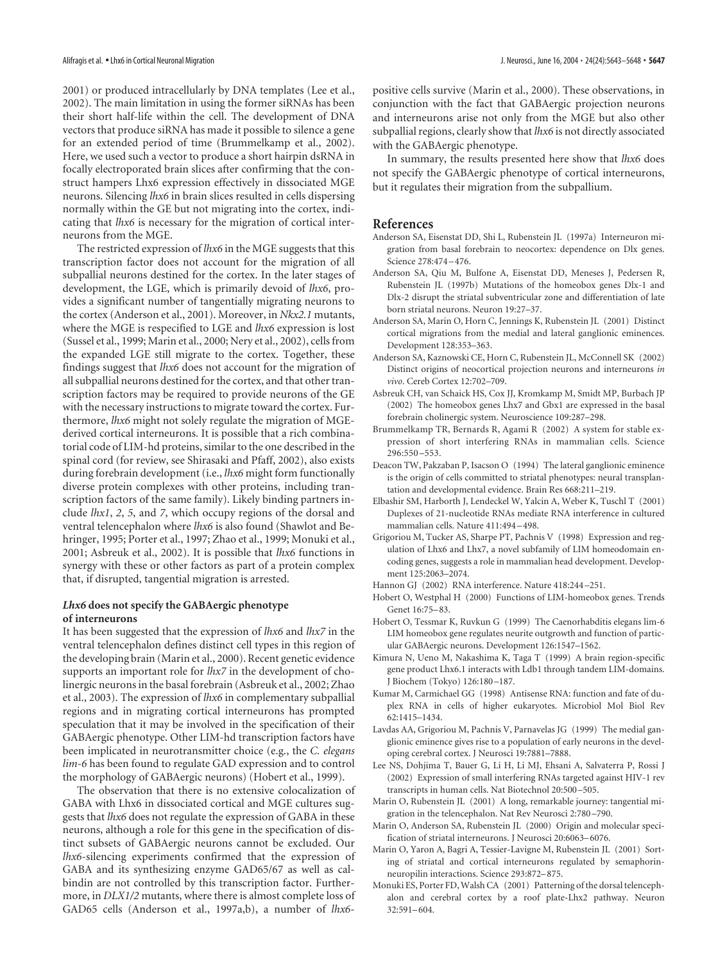2001) or produced intracellularly by DNA templates (Lee et al., 2002). The main limitation in using the former siRNAs has been their short half-life within the cell. The development of DNA vectors that produce siRNA has made it possible to silence a gene for an extended period of time (Brummelkamp et al., 2002). Here, we used such a vector to produce a short hairpin dsRNA in focally electroporated brain slices after confirming that the construct hampers Lhx6 expression effectively in dissociated MGE neurons. Silencing *lhx6* in brain slices resulted in cells dispersing normally within the GE but not migrating into the cortex, indicating that *lhx6* is necessary for the migration of cortical interneurons from the MGE.

The restricted expression of *lhx6* in the MGE suggests that this transcription factor does not account for the migration of all subpallial neurons destined for the cortex. In the later stages of development, the LGE, which is primarily devoid of *lhx6*, provides a significant number of tangentially migrating neurons to the cortex (Anderson et al., 2001). Moreover, in *Nkx2.1* mutants, where the MGE is respecified to LGE and *lhx6* expression is lost (Sussel et al., 1999; Marin et al., 2000; Nery et al., 2002), cells from the expanded LGE still migrate to the cortex. Together, these findings suggest that *lhx6* does not account for the migration of all subpallial neurons destined for the cortex, and that other transcription factors may be required to provide neurons of the GE with the necessary instructions to migrate toward the cortex. Furthermore, *lhx6* might not solely regulate the migration of MGEderived cortical interneurons. It is possible that a rich combinatorial code of LIM-hd proteins, similar to the one described in the spinal cord (for review, see Shirasaki and Pfaff, 2002), also exists during forebrain development (i.e., *lhx6* might form functionally diverse protein complexes with other proteins, including transcription factors of the same family). Likely binding partners include *lhx1*, *2*, *5*, and *7*, which occupy regions of the dorsal and ventral telencephalon where *lhx6* is also found (Shawlot and Behringer, 1995; Porter et al., 1997; Zhao et al., 1999; Monuki et al., 2001; Asbreuk et al., 2002). It is possible that *lhx6* functions in synergy with these or other factors as part of a protein complex that, if disrupted, tangential migration is arrested.

### *Lhx6* **does not specify the GABAergic phenotype of interneurons**

It has been suggested that the expression of *lhx6* and *lhx7* in the ventral telencephalon defines distinct cell types in this region of the developing brain (Marin et al., 2000). Recent genetic evidence supports an important role for *lhx7* in the development of cholinergic neurons in the basal forebrain (Asbreuk et al., 2002; Zhao et al., 2003). The expression of *lhx6* in complementary subpallial regions and in migrating cortical interneurons has prompted speculation that it may be involved in the specification of their GABAergic phenotype. Other LIM-hd transcription factors have been implicated in neurotransmitter choice (e.g., the *C. elegans lim-6* has been found to regulate GAD expression and to control the morphology of GABAergic neurons) (Hobert et al., 1999).

The observation that there is no extensive colocalization of GABA with Lhx6 in dissociated cortical and MGE cultures suggests that *lhx6* does not regulate the expression of GABA in these neurons, although a role for this gene in the specification of distinct subsets of GABAergic neurons cannot be excluded. Our *lhx6*-silencing experiments confirmed that the expression of GABA and its synthesizing enzyme GAD65/67 as well as calbindin are not controlled by this transcription factor. Furthermore, in *DLX1/2* mutants, where there is almost complete loss of GAD65 cells (Anderson et al., 1997a,b), a number of *lhx6*- positive cells survive (Marin et al., 2000). These observations, in conjunction with the fact that GABAergic projection neurons and interneurons arise not only from the MGE but also other subpallial regions, clearly show that *lhx6* is not directly associated with the GABAergic phenotype.

In summary, the results presented here show that *lhx6* does not specify the GABAergic phenotype of cortical interneurons, but it regulates their migration from the subpallium.

## **References**

- Anderson SA, Eisenstat DD, Shi L, Rubenstein JL (1997a) Interneuron migration from basal forebrain to neocortex: dependence on Dlx genes. Science 278:474–476.
- Anderson SA, Qiu M, Bulfone A, Eisenstat DD, Meneses J, Pedersen R, Rubenstein JL (1997b) Mutations of the homeobox genes Dlx-1 and Dlx-2 disrupt the striatal subventricular zone and differentiation of late born striatal neurons. Neuron 19:27–37.
- Anderson SA, Marin O, Horn C, Jennings K, Rubenstein JL (2001) Distinct cortical migrations from the medial and lateral ganglionic eminences. Development 128:353–363.
- Anderson SA, Kaznowski CE, Horn C, Rubenstein JL, McConnell SK (2002) Distinct origins of neocortical projection neurons and interneurons *in vivo*. Cereb Cortex 12:702–709.
- Asbreuk CH, van Schaick HS, Cox JJ, Kromkamp M, Smidt MP, Burbach JP (2002) The homeobox genes Lhx7 and Gbx1 are expressed in the basal forebrain cholinergic system. Neuroscience 109:287–298.
- Brummelkamp TR, Bernards R, Agami R (2002) A system for stable expression of short interfering RNAs in mammalian cells. Science 296:550 –553.
- Deacon TW, Pakzaban P, Isacson O (1994) The lateral ganglionic eminence is the origin of cells committed to striatal phenotypes: neural transplantation and developmental evidence. Brain Res 668:211–219.
- Elbashir SM, Harborth J, Lendeckel W, Yalcin A, Weber K, Tuschl T (2001) Duplexes of 21-nucleotide RNAs mediate RNA interference in cultured mammalian cells. Nature 411:494–498.
- Grigoriou M, Tucker AS, Sharpe PT, Pachnis V (1998) Expression and regulation of Lhx6 and Lhx7, a novel subfamily of LIM homeodomain encoding genes, suggests a role in mammalian head development. Development 125:2063–2074.
- Hannon GJ (2002) RNA interference. Nature 418:244–251.
- Hobert O, Westphal H (2000) Functions of LIM-homeobox genes. Trends Genet 16:75–83.
- Hobert O, Tessmar K, Ruvkun G (1999) The Caenorhabditis elegans lim-6 LIM homeobox gene regulates neurite outgrowth and function of particular GABAergic neurons. Development 126:1547–1562.
- Kimura N, Ueno M, Nakashima K, Taga T (1999) A brain region-specific gene product Lhx6.1 interacts with Ldb1 through tandem LIM-domains. J Biochem (Tokyo) 126:180–187.
- Kumar M, Carmichael GG (1998) Antisense RNA: function and fate of duplex RNA in cells of higher eukaryotes. Microbiol Mol Biol Rev 62:1415–1434.
- Lavdas AA, Grigoriou M, Pachnis V, Parnavelas JG (1999) The medial ganglionic eminence gives rise to a population of early neurons in the developing cerebral cortex. J Neurosci 19:7881–7888.
- Lee NS, Dohjima T, Bauer G, Li H, Li MJ, Ehsani A, Salvaterra P, Rossi J (2002) Expression of small interfering RNAs targeted against HIV-1 rev transcripts in human cells. Nat Biotechnol 20:500–505.
- Marin O, Rubenstein JL (2001) A long, remarkable journey: tangential migration in the telencephalon. Nat Rev Neurosci 2:780–790.
- Marin O, Anderson SA, Rubenstein JL (2000) Origin and molecular specification of striatal interneurons. J Neurosci 20:6063–6076.
- Marin O, Yaron A, Bagri A, Tessier-Lavigne M, Rubenstein JL (2001) Sorting of striatal and cortical interneurons regulated by semaphorinneuropilin interactions. Science 293:872–875.
- Monuki ES, Porter FD, Walsh CA (2001) Patterning of the dorsal telencephalon and cerebral cortex by a roof plate-Lhx2 pathway. Neuron 32:591–604.